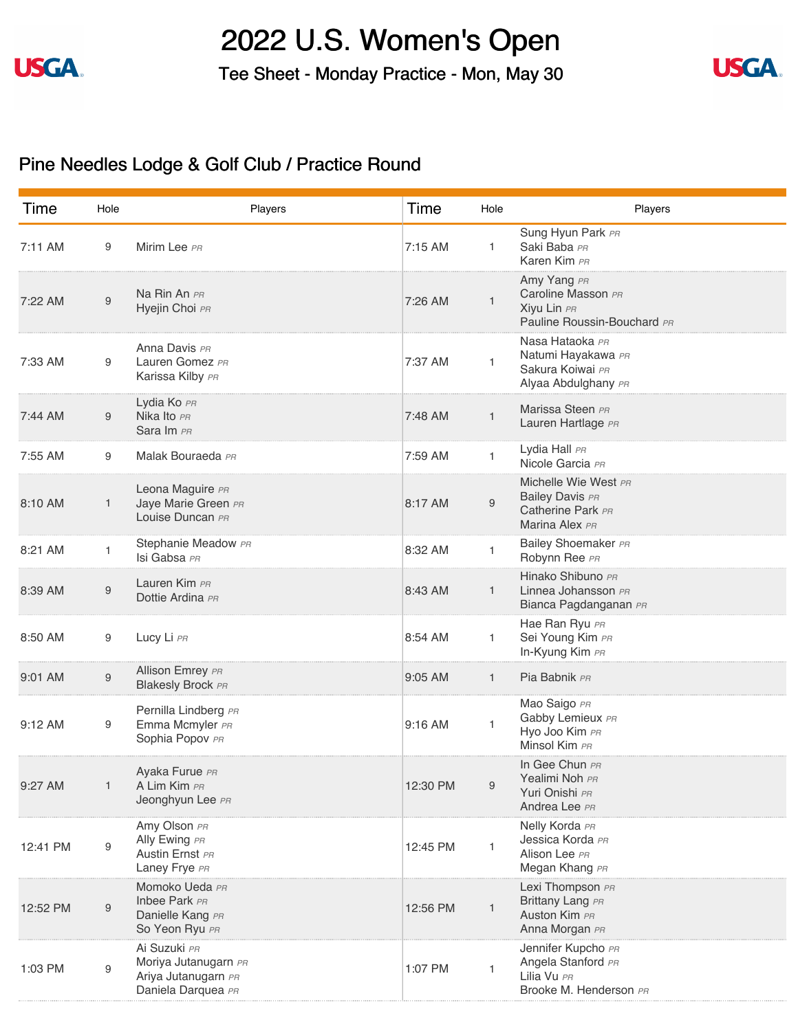**USGA.** 

2022 U.S. Women's Open

Tee Sheet - Monday Practice - Mon, May 30



## Pine Needles Lodge & Golf Club / Practice Round

| Time     | Hole             | Players                                                                           | Time     | Hole         | Players                                                                               |
|----------|------------------|-----------------------------------------------------------------------------------|----------|--------------|---------------------------------------------------------------------------------------|
| 7:11 AM  | 9                | Mirim Lee PR                                                                      | 7:15 AM  | $\mathbf{1}$ | Sung Hyun Park PR<br>Saki Baba PR<br>Karen Kim PR                                     |
| 7:22 AM  | 9                | Na Rin An PR<br>Hyejin Choi PR                                                    | 7:26 AM  | $\mathbf{1}$ | Amy Yang PR<br>Caroline Masson PR<br>Xiyu Lin PR<br>Pauline Roussin-Bouchard PR       |
| 7:33 AM  | 9                | Anna Davis PR<br>Lauren Gomez PR<br>Karissa Kilby PR                              | 7:37 AM  | $\mathbf{1}$ | Nasa Hataoka PR<br>Natumi Hayakawa PR<br>Sakura Koiwai PR<br>Alyaa Abdulghany PR      |
| 7:44 AM  | 9                | Lydia Ko PR<br>Nika Ito PR<br>Sara Im PR                                          | 7:48 AM  | $\mathbf{1}$ | Marissa Steen PR<br>Lauren Hartlage PR                                                |
| 7:55 AM  | 9                | Malak Bouraeda PR                                                                 | 7:59 AM  | $\mathbf{1}$ | Lydia Hall PR<br>Nicole Garcia PR                                                     |
| 8:10 AM  | 1                | Leona Maguire PR<br>Jaye Marie Green PR<br>Louise Duncan PR                       | 8:17 AM  | 9            | Michelle Wie West PR<br><b>Bailey Davis PR</b><br>Catherine Park PR<br>Marina Alex PR |
| 8:21 AM  | 1                | Stephanie Meadow PR<br>Isi Gabsa PR                                               | 8:32 AM  | $\mathbf{1}$ | Bailey Shoemaker PR<br>Robynn Ree PR                                                  |
| 8:39 AM  | 9                | Lauren Kim PR<br>Dottie Ardina PR                                                 | 8:43 AM  | $\mathbf{1}$ | Hinako Shibuno PR<br>Linnea Johansson PR<br>Bianca Pagdanganan PR                     |
| 8:50 AM  | 9                | Lucy Li PR                                                                        | 8:54 AM  | $\mathbf{1}$ | Hae Ran Ryu PR<br>Sei Young Kim PR<br>In-Kyung Kim PR                                 |
| 9:01 AM  | 9                | Allison Emrey PR<br><b>Blakesly Brock PR</b>                                      | 9:05 AM  | $\mathbf{1}$ | Pia Babnik PR                                                                         |
| 9:12 AM  | 9                | Pernilla Lindberg PR<br>Emma Mcmyler PR<br>Sophia Popov PR                        | 9:16 AM  | $\mathbf{1}$ | Mao Saigo PR<br>Gabby Lemieux PR<br>Hyo Joo Kim PR<br>Minsol Kim PR                   |
| 9:27 AM  | 1                | Ayaka Furue PR<br>A Lim Kim PR<br>Jeonghyun Lee PR                                | 12:30 PM | 9            | In Gee Chun PR<br>Yealimi Noh PR<br>Yuri Onishi PR<br>Andrea Lee PR                   |
| 12:41 PM | 9                | Amy Olson PR<br>Ally Ewing PR<br>Austin Ernst PR<br>Laney Frye PR                 | 12:45 PM | $\mathbf{1}$ | Nelly Korda PR<br>Jessica Korda PR<br>Alison Lee PR<br>Megan Khang PR                 |
| 12:52 PM | $\boldsymbol{9}$ | Momoko Ueda PR<br>Inbee Park PR<br>Danielle Kang PR<br>So Yeon Ryu PR             | 12:56 PM | $\mathbf{1}$ | Lexi Thompson PR<br><b>Brittany Lang PR</b><br>Auston Kim PR<br>Anna Morgan PR        |
| 1:03 PM  | 9                | Ai Suzuki PR<br>Moriya Jutanugarn PR<br>Ariya Jutanugarn PR<br>Daniela Darquea PR | 1:07 PM  | $\mathbf{1}$ | Jennifer Kupcho PR<br>Angela Stanford PR<br>Lilia Vu PR<br>Brooke M. Henderson PR     |